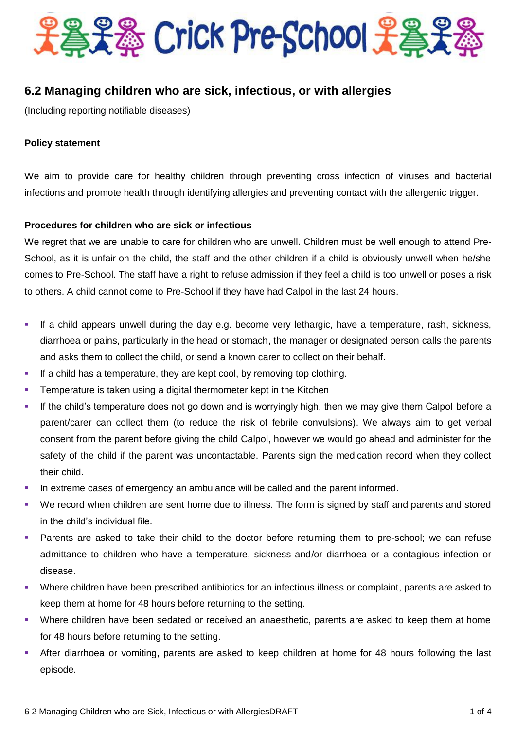

# **6.2 Managing children who are sick, infectious, or with allergies**

(Including reporting notifiable diseases)

#### **Policy statement**

We aim to provide care for healthy children through preventing cross infection of viruses and bacterial infections and promote health through identifying allergies and preventing contact with the allergenic trigger.

## **Procedures for children who are sick or infectious**

We regret that we are unable to care for children who are unwell. Children must be well enough to attend Pre-School, as it is unfair on the child, the staff and the other children if a child is obviously unwell when he/she comes to Pre-School. The staff have a right to refuse admission if they feel a child is too unwell or poses a risk to others. A child cannot come to Pre-School if they have had Calpol in the last 24 hours.

- If a child appears unwell during the day e.g. become very lethargic, have a temperature, rash, sickness, diarrhoea or pains, particularly in the head or stomach, the manager or designated person calls the parents and asks them to collect the child, or send a known carer to collect on their behalf.
- If a child has a temperature, they are kept cool, by removing top clothing.
- Temperature is taken using a digital thermometer kept in the Kitchen
- If the child's temperature does not go down and is worryingly high, then we may give them Calpol before a parent/carer can collect them (to reduce the risk of febrile convulsions). We always aim to get verbal consent from the parent before giving the child Calpol, however we would go ahead and administer for the safety of the child if the parent was uncontactable. Parents sign the medication record when they collect their child.
- In extreme cases of emergency an ambulance will be called and the parent informed.
- We record when children are sent home due to illness. The form is signed by staff and parents and stored in the child's individual file.
- Parents are asked to take their child to the doctor before returning them to pre-school; we can refuse admittance to children who have a temperature, sickness and/or diarrhoea or a contagious infection or disease.
- Where children have been prescribed antibiotics for an infectious illness or complaint, parents are asked to keep them at home for 48 hours before returning to the setting.
- Where children have been sedated or received an anaesthetic, parents are asked to keep them at home for 48 hours before returning to the setting.
- After diarrhoea or vomiting, parents are asked to keep children at home for 48 hours following the last episode.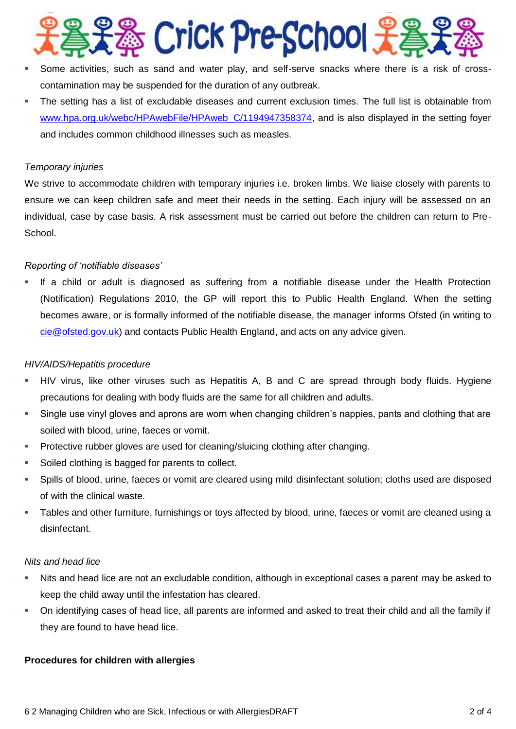

- Some activities, such as sand and water play, and self-serve snacks where there is a risk of crosscontamination may be suspended for the duration of any outbreak.
- The setting has a list of excludable diseases and current exclusion times. The full list is obtainable from [www.hpa.org.uk/webc/HPAwebFile/HPAweb\\_C/1194947358374,](http://www.hpa.org.uk/webc/HPAwebFile/HPAweb_C/1194947358374) and is also displayed in the setting foyer and includes common childhood illnesses such as measles.

#### *Temporary injuries*

We strive to accommodate children with temporary injuries i.e. broken limbs. We liaise closely with parents to ensure we can keep children safe and meet their needs in the setting. Each injury will be assessed on an individual, case by case basis. A risk assessment must be carried out before the children can return to Pre-School.

## *Reporting of 'notifiable diseases'*

 If a child or adult is diagnosed as suffering from a notifiable disease under the Health Protection (Notification) Regulations 2010, the GP will report this to Public Health England. When the setting becomes aware, or is formally informed of the notifiable disease, the manager informs Ofsted (in writing to [cie@ofsted.gov.uk\)](mailto:cie@ofsted.gov.uk) and contacts Public Health England, and acts on any advice given.

## *HIV/AIDS/Hepatitis procedure*

- HIV virus, like other viruses such as Hepatitis A, B and C are spread through body fluids. Hygiene precautions for dealing with body fluids are the same for all children and adults.
- Single use vinyl gloves and aprons are worn when changing children's nappies, pants and clothing that are soiled with blood, urine, faeces or vomit.
- **Protective rubber gloves are used for cleaning/sluicing clothing after changing.**
- Soiled clothing is bagged for parents to collect.
- Spills of blood, urine, faeces or vomit are cleared using mild disinfectant solution; cloths used are disposed of with the clinical waste.
- Tables and other furniture, furnishings or toys affected by blood, urine, faeces or vomit are cleaned using a disinfectant.

#### *Nits and head lice*

- Nits and head lice are not an excludable condition, although in exceptional cases a parent may be asked to keep the child away until the infestation has cleared.
- On identifying cases of head lice, all parents are informed and asked to treat their child and all the family if they are found to have head lice.

## **Procedures for children with allergies**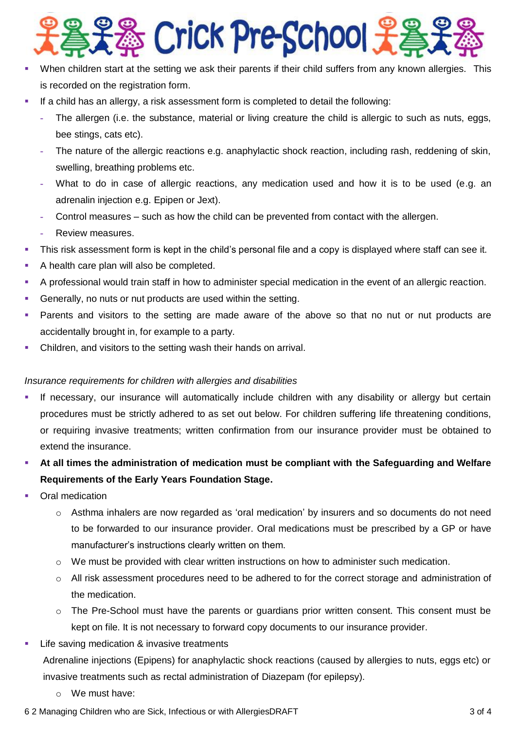

- When children start at the setting we ask their parents if their child suffers from any known allergies. This is recorded on the registration form.
- If a child has an allergy, a risk assessment form is completed to detail the following:
	- **-** The allergen (i.e. the substance, material or living creature the child is allergic to such as nuts, eggs, bee stings, cats etc).
	- **-** The nature of the allergic reactions e.g. anaphylactic shock reaction, including rash, reddening of skin, swelling, breathing problems etc.
	- What to do in case of allergic reactions, any medication used and how it is to be used (e.g. an adrenalin injection e.g. Epipen or Jext).
	- **-** Control measures such as how the child can be prevented from contact with the allergen.
	- **-** Review measures.
- This risk assessment form is kept in the child's personal file and a copy is displayed where staff can see it.
- A health care plan will also be completed.
- A professional would train staff in how to administer special medication in the event of an allergic reaction.
- Generally, no nuts or nut products are used within the setting.
- Parents and visitors to the setting are made aware of the above so that no nut or nut products are accidentally brought in, for example to a party.
- Children, and visitors to the setting wash their hands on arrival.

## *Insurance requirements for children with allergies and disabilities*

- If necessary, our insurance will automatically include children with any disability or allergy but certain procedures must be strictly adhered to as set out below. For children suffering life threatening conditions, or requiring invasive treatments; written confirmation from our insurance provider must be obtained to extend the insurance.
- **At all times the administration of medication must be compliant with the Safeguarding and Welfare Requirements of the Early Years Foundation Stage.**
- Oral medication
	- $\circ$  Asthma inhalers are now regarded as 'oral medication' by insurers and so documents do not need to be forwarded to our insurance provider. Oral medications must be prescribed by a GP or have manufacturer's instructions clearly written on them.
	- o We must be provided with clear written instructions on how to administer such medication.
	- $\circ$  All risk assessment procedures need to be adhered to for the correct storage and administration of the medication.
	- o The Pre-School must have the parents or guardians prior written consent. This consent must be kept on file. It is not necessary to forward copy documents to our insurance provider.
- Life saving medication & invasive treatments

Adrenaline injections (Epipens) for anaphylactic shock reactions (caused by allergies to nuts, eggs etc) or invasive treatments such as rectal administration of Diazepam (for epilepsy).

o We must have: